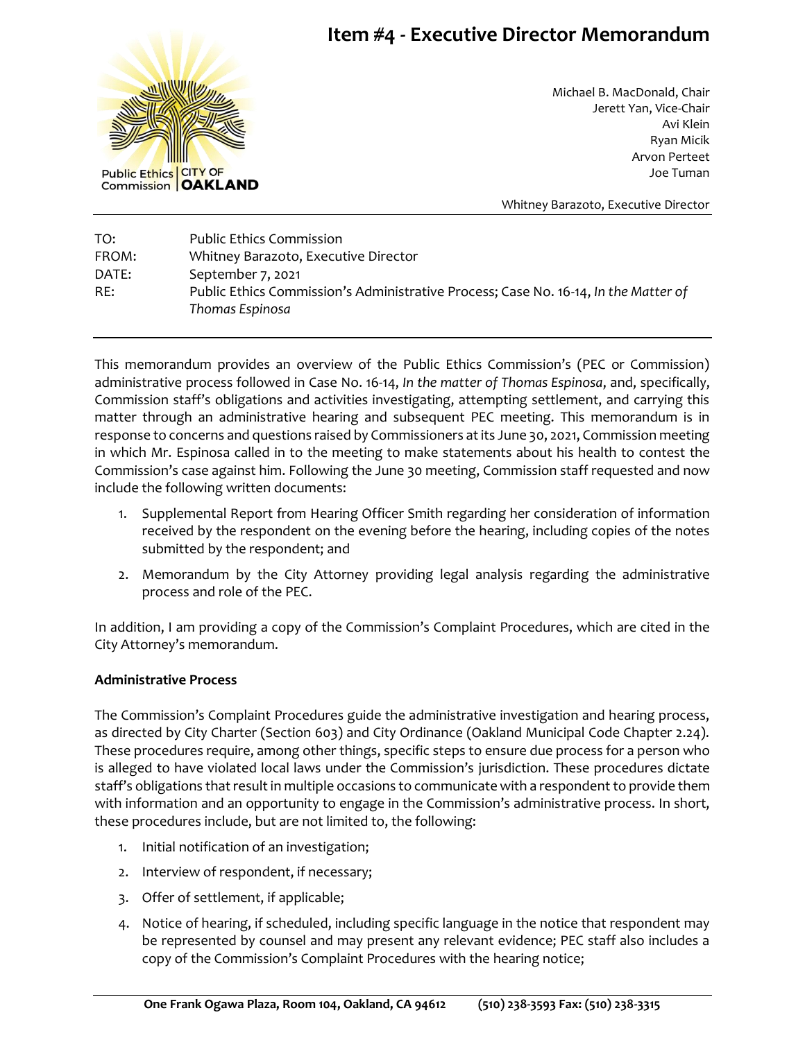# **Item #4 - Executive Director Memorandum**



Michael B. MacDonald, Chair Jerett Yan, Vice-Chair Avi Klein Ryan Micik Arvon Perteet Joe Tuman

Whitney Barazoto, Executive Director

TO: Public Ethics Commission FROM: Whitney Barazoto, Executive Director DATE: September 7, 2021 RE: Public Ethics Commission's Administrative Process; Case No. 16-14, *In the Matter of Thomas Espinosa*

This memorandum provides an overview of the Public Ethics Commission's (PEC or Commission) administrative process followed in Case No. 16-14, *In the matter of Thomas Espinosa*, and, specifically, Commission staff's obligations and activities investigating, attempting settlement, and carrying this matter through an administrative hearing and subsequent PEC meeting. This memorandum is in response to concerns and questions raised by Commissioners at its June 30, 2021, Commission meeting in which Mr. Espinosa called in to the meeting to make statements about his health to contest the Commission's case against him. Following the June 30 meeting, Commission staff requested and now include the following written documents:

- 1. Supplemental Report from Hearing Officer Smith regarding her consideration of information received by the respondent on the evening before the hearing, including copies of the notes submitted by the respondent; and
- 2. Memorandum by the City Attorney providing legal analysis regarding the administrative process and role of the PEC.

In addition, I am providing a copy of the Commission's Complaint Procedures, which are cited in the City Attorney's memorandum.

### **Administrative Process**

The Commission's Complaint Procedures guide the administrative investigation and hearing process, as directed by City Charter (Section 603) and City Ordinance (Oakland Municipal Code Chapter 2.24). These procedures require, among other things, specific steps to ensure due process for a person who is alleged to have violated local laws under the Commission's jurisdiction. These procedures dictate staff's obligations that result in multiple occasions to communicate with a respondent to provide them with information and an opportunity to engage in the Commission's administrative process. In short, these procedures include, but are not limited to, the following:

- 1. Initial notification of an investigation;
- 2. Interview of respondent, if necessary;
- 3. Offer of settlement, if applicable;
- 4. Notice of hearing, if scheduled, including specific language in the notice that respondent may be represented by counsel and may present any relevant evidence; PEC staff also includes a copy of the Commission's Complaint Procedures with the hearing notice;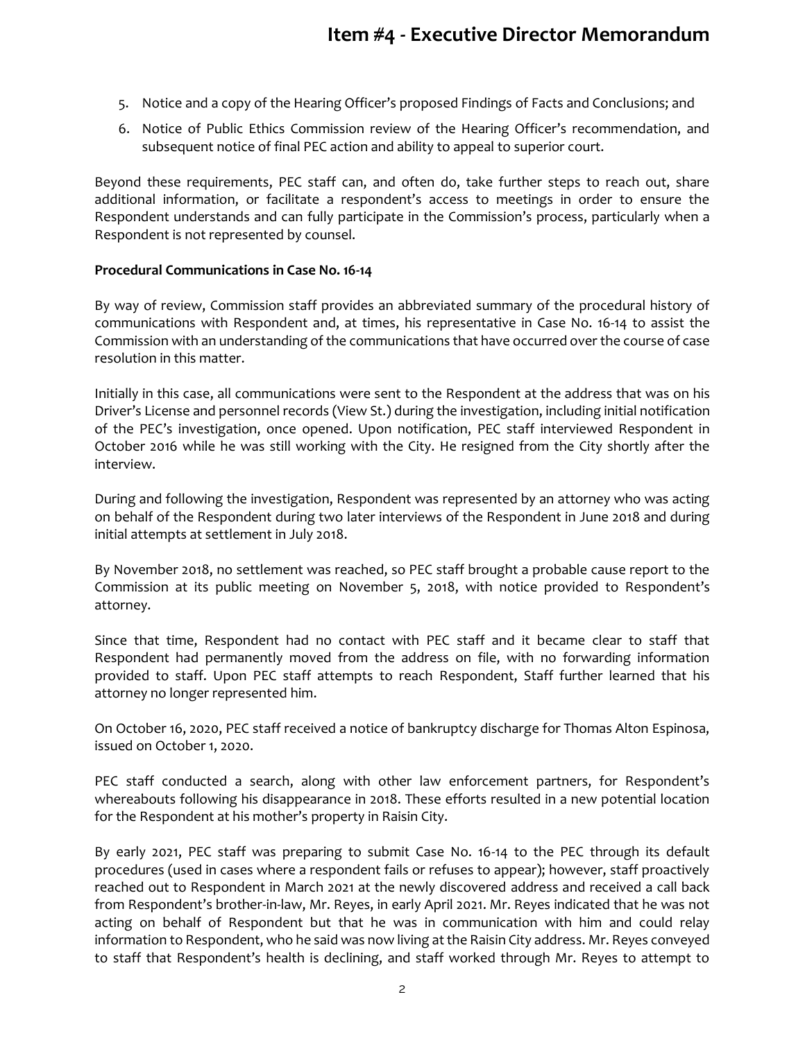- 5. Notice and a copy of the Hearing Officer's proposed Findings of Facts and Conclusions; and
- 6. Notice of Public Ethics Commission review of the Hearing Officer's recommendation, and subsequent notice of final PEC action and ability to appeal to superior court.

Beyond these requirements, PEC staff can, and often do, take further steps to reach out, share additional information, or facilitate a respondent's access to meetings in order to ensure the Respondent understands and can fully participate in the Commission's process, particularly when a Respondent is not represented by counsel.

### **Procedural Communications in Case No. 16-14**

By way of review, Commission staff provides an abbreviated summary of the procedural history of communications with Respondent and, at times, his representative in Case No. 16-14 to assist the Commission with an understanding of the communications that have occurred over the course of case resolution in this matter.

Initially in this case, all communications were sent to the Respondent at the address that was on his Driver's License and personnel records (View St.) during the investigation, including initial notification of the PEC's investigation, once opened. Upon notification, PEC staff interviewed Respondent in October 2016 while he was still working with the City. He resigned from the City shortly after the interview.

During and following the investigation, Respondent was represented by an attorney who was acting on behalf of the Respondent during two later interviews of the Respondent in June 2018 and during initial attempts at settlement in July 2018.

By November 2018, no settlement was reached, so PEC staff brought a probable cause report to the Commission at its public meeting on November 5, 2018, with notice provided to Respondent's attorney.

Since that time, Respondent had no contact with PEC staff and it became clear to staff that Respondent had permanently moved from the address on file, with no forwarding information provided to staff. Upon PEC staff attempts to reach Respondent, Staff further learned that his attorney no longer represented him.

On October 16, 2020, PEC staff received a notice of bankruptcy discharge for Thomas Alton Espinosa, issued on October 1, 2020.

PEC staff conducted a search, along with other law enforcement partners, for Respondent's whereabouts following his disappearance in 2018. These efforts resulted in a new potential location for the Respondent at his mother's property in Raisin City.

By early 2021, PEC staff was preparing to submit Case No. 16-14 to the PEC through its default procedures (used in cases where a respondent fails or refuses to appear); however, staff proactively reached out to Respondent in March 2021 at the newly discovered address and received a call back from Respondent's brother-in-law, Mr. Reyes, in early April 2021. Mr. Reyes indicated that he was not acting on behalf of Respondent but that he was in communication with him and could relay information to Respondent, who he said was now living at the Raisin City address. Mr. Reyes conveyed to staff that Respondent's health is declining, and staff worked through Mr. Reyes to attempt to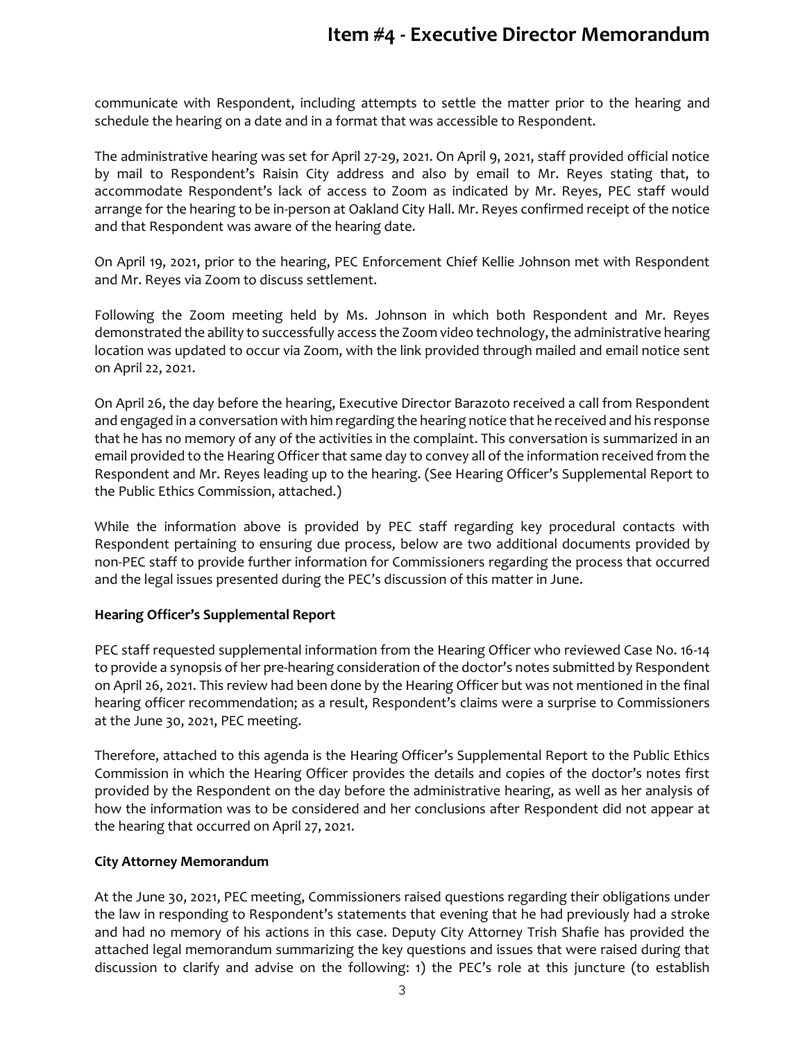## **Item #4 - Executive Director Memorandum**

communicate with Respondent, including attempts to settle the matter prior to the hearing and schedule the hearing on a date and in a format that was accessible to Respondent.

The administrative hearing was set for April 27-29, 2021. On April 9, 2021, staff provided official notice by mail to Respondent's Raisin City address and also by email to Mr. Reyes stating that, to accommodate Respondent's lack of access to Zoom as indicated by Mr. Reyes, PEC staff would arrange for the hearing to be in-person at Oakland City Hall. Mr. Reyes confirmed receipt of the notice and that Respondent was aware of the hearing date.

On April 19, 2021, prior to the hearing, PEC Enforcement Chief Kellie Johnson met with Respondent and Mr. Reyes via Zoom to discuss settlement.

Following the Zoom meeting held by Ms. Johnson in which both Respondent and Mr. Reyes demonstrated the ability to successfully access the Zoom video technology, the administrative hearing location was updated to occur via Zoom, with the link provided through mailed and email notice sent on April 22, 2021.

On April 26, the day before the hearing, Executive Director Barazoto received a call from Respondent and engaged in a conversation with him regarding the hearing notice that he received and his response that he has no memory of any of the activities in the complaint. This conversation is summarized in an email provided to the Hearing Officer that same day to convey all of the information received from the Respondent and Mr. Reyes leading up to the hearing. (See Hearing Officer's Supplemental Report to the Public Ethics Commission, attached.)

While the information above is provided by PEC staff regarding key procedural contacts with Respondent pertaining to ensuring due process, below are two additional documents provided by non-PEC staff to provide further information for Commissioners regarding the process that occurred and the legal issues presented during the PEC's discussion of this matter in June.

### **Hearing Officer's Supplemental Report**

PEC staff requested supplemental information from the Hearing Officer who reviewed Case No. 16-14 to provide a synopsis of her pre-hearing consideration of the doctor's notes submitted by Respondent on April 26, 2021. This review had been done by the Hearing Officer but was not mentioned in the final hearing officer recommendation; as a result, Respondent's claims were a surprise to Commissioners at the June 30, 2021, PEC meeting.

Therefore, attached to this agenda is the Hearing Officer's Supplemental Report to the Public Ethics Commission in which the Hearing Officer provides the details and copies of the doctor's notes first provided by the Respondent on the day before the administrative hearing, as well as her analysis of how the information was to be considered and her conclusions after Respondent did not appear at the hearing that occurred on April 27, 2021.

### **City Attorney Memorandum**

At the June 30, 2021, PEC meeting, Commissioners raised questions regarding their obligations under the law in responding to Respondent's statements that evening that he had previously had a stroke and had no memory of his actions in this case. Deputy City Attorney Trish Shafie has provided the attached legal memorandum summarizing the key questions and issues that were raised during that discussion to clarify and advise on the following: 1) the PEC's role at this juncture (to establish